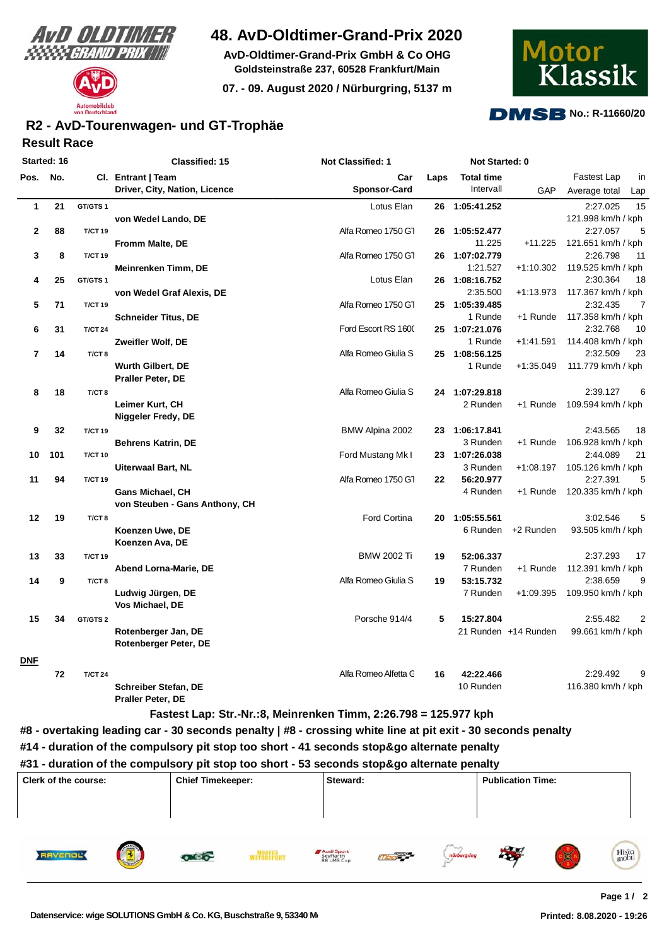



# **48. AvD-Oldtimer-Grand-Prix 2020**

**AvD-Oldtimer-Grand-Prix GmbH & Co OHG Goldsteinstraße 237, 60528 Frankfurt/Main**

**07. - 09. August 2020 / Nürburgring, 5137 m**



#### **DMSB No.: R-11660/20**

### **Result Race R2 - AvD-Tourenwagen- und GT-Trophäe**

| Started: 16  |     |                   | <b>Classified: 15</b>          | Not Classified: 1    | Not Started: 0 |                   |                      |                            |
|--------------|-----|-------------------|--------------------------------|----------------------|----------------|-------------------|----------------------|----------------------------|
| Pos.         | No. |                   | CI. Entrant   Team             | Car                  | Laps           | <b>Total time</b> |                      | Fastest Lap<br>in          |
|              |     |                   | Driver, City, Nation, Licence  | <b>Sponsor-Card</b>  |                | Intervall         | GAP                  | Average total<br>Lap       |
| $\mathbf{1}$ | 21  | GT/GTS1           |                                | Lotus Elan           |                | 26 1:05:41.252    |                      | 15<br>2:27.025             |
|              |     |                   | von Wedel Lando, DE            |                      |                |                   |                      | 121.998 km/h / kph         |
| 2            | 88  | <b>T/CT 19</b>    |                                | Alfa Romeo 1750 G1   | 26             | 1:05:52.477       |                      | 5<br>2:27.057              |
|              |     |                   | Fromm Malte, DE                |                      |                | 11.225            | +11.225              | 121.651 km/h / kph         |
| 3            | 8   | <b>T/CT 19</b>    |                                | Alfa Romeo 1750 G1   | 26             | 1:07:02.779       |                      | 2:26.798<br>11             |
|              |     |                   | Meinrenken Timm, DE            |                      |                | 1:21.527          | $+1:10.302$          | 119.525 km/h / kph         |
| 4            | 25  | GT/GTS1           |                                | Lotus Elan           |                | 26 1:08:16.752    |                      | 2:30.364<br>18             |
|              |     |                   | von Wedel Graf Alexis, DE      |                      |                | 2:35.500          | $+1:13.973$          | 117.367 km/h / kph         |
| 5            | 71  | <b>T/CT 19</b>    |                                | Alfa Romeo 1750 GT   |                | 25 1:05:39.485    |                      | 2:32.435<br>$\overline{7}$ |
|              |     |                   | <b>Schneider Titus, DE</b>     |                      |                | 1 Runde           | +1 Runde             | 117.358 km/h / kph         |
| 6            | 31  | <b>T/CT 24</b>    |                                | Ford Escort RS 1600  |                | 25 1:07:21.076    |                      | 2:32.768<br>10             |
|              |     |                   | Zweifler Wolf, DE              |                      |                | 1 Runde           | $+1:41.591$          | 114.408 km/h / kph         |
| 7            | 14  | T/CT <sub>8</sub> |                                | Alfa Romeo Giulia S  | 25             | 1:08:56.125       |                      | 2:32.509<br>23             |
|              |     |                   | <b>Wurth Gilbert, DE</b>       |                      |                | 1 Runde           | $+1:35.049$          | 111.779 km/h / kph         |
|              |     |                   | <b>Praller Peter, DE</b>       |                      |                |                   |                      |                            |
| 8            | 18  | T/CT <sub>8</sub> |                                | Alfa Romeo Giulia S  |                | 24 1:07:29.818    |                      | 2:39.127<br>6              |
|              |     |                   | Leimer Kurt, CH                |                      |                | 2 Runden          | +1 Runde             | 109.594 km/h / kph         |
|              |     |                   | Niggeler Fredy, DE             |                      |                |                   |                      |                            |
| 9            | 32  | <b>T/CT 19</b>    |                                | BMW Alpina 2002      | 23             | 1:06:17.841       |                      | 2:43.565<br>18             |
|              |     |                   | <b>Behrens Katrin, DE</b>      |                      |                | 3 Runden          | +1 Runde             | 106.928 km/h / kph         |
| 10           | 101 | <b>T/CT 10</b>    |                                | Ford Mustang Mk I    |                | 23 1:07:26.038    |                      | 2:44.089<br>21             |
|              |     |                   | Uiterwaal Bart, NL             |                      |                | 3 Runden          | +1:08.197            | 105.126 km/h / kph         |
| 11           | 94  | <b>T/CT 19</b>    |                                | Alfa Romeo 1750 G1   | 22             | 56:20.977         |                      | 2:27.391<br>5              |
|              |     |                   | <b>Gans Michael, CH</b>        |                      |                | 4 Runden          | +1 Runde             | 120.335 km/h / kph         |
|              |     |                   | von Steuben - Gans Anthony, CH |                      |                |                   |                      |                            |
| 12           | 19  | T/CT <sub>8</sub> |                                | Ford Cortina         | 20             | 1:05:55.561       |                      | 3:02.546<br>5              |
|              |     |                   | Koenzen Uwe, DE                |                      |                | 6 Runden          | +2 Runden            | 93.505 km/h / kph          |
|              |     |                   | Koenzen Ava, DE                |                      |                |                   |                      |                            |
| 13           | 33  | <b>T/CT 19</b>    |                                | <b>BMW 2002 Ti</b>   | 19             | 52:06.337         |                      | 2:37.293<br>17             |
|              |     |                   | Abend Lorna-Marie, DE          |                      |                | 7 Runden          | +1 Runde             | 112.391 km/h / kph         |
| 14           | 9   | T/CT <sub>8</sub> |                                | Alfa Romeo Giulia S  | 19             | 53:15.732         |                      | 2:38.659<br>9              |
|              |     |                   | Ludwig Jürgen, DE              |                      |                | 7 Runden          | $+1:09.395$          | 109.950 km/h / kph         |
|              |     |                   | Vos Michael, DE                |                      |                |                   |                      |                            |
| 15           | 34  | GT/GTS 2          |                                | Porsche 914/4        | 5              | 15:27.804         |                      | 2:55.482<br>$\overline{2}$ |
|              |     |                   | Rotenberger Jan, DE            |                      |                |                   | 21 Runden +14 Runden | 99.661 km/h / kph          |
|              |     |                   | Rotenberger Peter, DE          |                      |                |                   |                      |                            |
|              |     |                   |                                |                      |                |                   |                      |                            |
| <b>DNF</b>   |     |                   |                                |                      |                |                   |                      |                            |
|              | 72  | <b>T/CT 24</b>    |                                | Alfa Romeo Alfetta C | 16             | 42:22.466         |                      | 2:29.492<br>9              |
|              |     |                   | <b>Schreiber Stefan, DE</b>    |                      |                | 10 Runden         |                      | 116.380 km/h / kph         |

 **Fastest Lap: Str.-Nr.:8, Meinrenken Timm, 2:26.798 = 125.977 kph**

**#8 - overtaking leading car - 30 seconds penalty | #8 - crossing white line at pit exit - 30 seconds penalty**

**#31 - duration of the compulsory pit stop too short - 53 seconds stop&go alternate penalty**

| Clerk of the course: | <b>Chief Timekeeper:</b>                        | Steward:                                                                                   | <b>Publication Time:</b>  |  |  |  |
|----------------------|-------------------------------------------------|--------------------------------------------------------------------------------------------|---------------------------|--|--|--|
| <b>RAVENOL</b>       | Modena<br>fotokspor<br>$\overline{\phantom{a}}$ | <b>MAG</b><br>Audi Sport<br>Seyffarth<br>RB LMS Cup<br>mbor <sup>pory</sup><br>nürburgring | <b>ALCO</b><br>Histo<br>圖 |  |  |  |

**Praller Peter, DE**

**<sup>#14 -</sup> duration of the compulsory pit stop too short - 41 seconds stop&go alternate penalty**